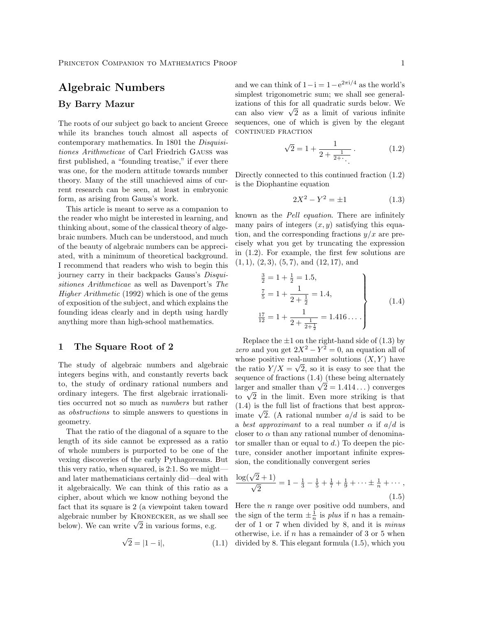# **Algebraic Numbers By Barry Mazur**

The roots of our subject go back to ancient Greece while its branches touch almost all aspects of contemporary mathematics. In 1801 the Disquisitiones Arithmeticae of Carl Friedrich Gauss was first published, a "founding treatise," if ever there was one, for the modern attitude towards number theory. Many of the still unachieved aims of current research can be seen, at least in embryonic form, as arising from Gauss's work.

This article is meant to serve as a companion to the reader who might be interested in learning, and thinking about, some of the classical theory of algebraic numbers. Much can be understood, and much of the beauty of algebraic numbers can be appreciated, with a minimum of theoretical background. I recommend that readers who wish to begin this journey carry in their backpacks Gauss's Disquisitiones Arithmeticae as well as Davenport's The Higher Arithmetic (1992) which is one of the gems of exposition of the subject, and which explains the founding ideas clearly and in depth using hardly anything more than high-school mathematics.

## **1 The Square Root of 2**

The study of algebraic numbers and algebraic integers begins with, and constantly reverts back to, the study of ordinary rational numbers and ordinary integers. The first algebraic irrationalities occurred not so much as numbers but rather as obstructions to simple answers to questions in geometry.

That the ratio of the diagonal of a square to the length of its side cannot be expressed as a ratio of whole numbers is purported to be one of the vexing discoveries of the early Pythagoreans. But this very ratio, when squared, is 2:1. So we might and later mathematicians certainly did—deal with it algebraically. We can think of this ratio as a cipher, about which we know nothing beyond the fact that its square is 2 (a viewpoint taken toward algebraic number by Kronecker, as we shall see below). We can write  $\sqrt{2}$  in various forms, e.g.

$$
\sqrt{2} = |1 - i|,\tag{1.1}
$$

and we can think of  $1-i=1-e^{2\pi i/4}$  as the world's simplest trigonometric sum; we shall see generalizations of this for all quadratic surds below. We can also view  $\sqrt{2}$  as a limit of various infinite sequences, one of which is given by the elegant continued fraction

$$
\sqrt{2} = 1 + \frac{1}{2 + \frac{1}{2 + \ddots}}.
$$
 (1.2)

Directly connected to this continued fraction (1.2) is the Diophantine equation

$$
2X^2 - Y^2 = \pm 1\tag{1.3}
$$

known as the Pell equation. There are infinitely many pairs of integers  $(x, y)$  satisfying this equation, and the corresponding fractions  $y/x$  are precisely what you get by truncating the expression in (1.2). For example, the first few solutions are  $(1, 1), (2, 3), (5, 7), \text{ and } (12, 17), \text{ and}$ 

$$
\begin{aligned}\n\frac{3}{2} &= 1 + \frac{1}{2} = 1.5, \\
\frac{7}{5} &= 1 + \frac{1}{2 + \frac{1}{2}} = 1.4, \\
\frac{17}{12} &= 1 + \frac{1}{2 + \frac{1}{2 + \frac{1}{2}}} = 1.416 \dots \n\end{aligned}\n\tag{1.4}
$$

Replace the  $\pm 1$  on the right-hand side of (1.3) by zero and you get  $2X^2 - Y^2 = 0$ , an equation all of whose positive real-number solutions  $(X, Y)$  have the ratio  $Y/X = \sqrt{2}$ , so it is easy to see that the sequence of fractions (1.4) (these being alternately larger and smaller than  $\sqrt{2} = 1.414...$  converges to  $\sqrt{2}$  in the limit. Even more striking is that (1.4) is the full list of fractions that best approximate  $\sqrt{2}$ . (A rational number  $a/d$  is said to be a best approximant to a real number  $\alpha$  if  $a/d$  is closer to  $\alpha$  than any rational number of denominator smaller than or equal to  $d$ .) To deepen the picture, consider another important infinite expression, the conditionally convergent series

$$
\frac{\log(\sqrt{2}+1)}{\sqrt{2}} = 1 - \frac{1}{3} - \frac{1}{5} + \frac{1}{7} + \frac{1}{9} + \dots \pm \frac{1}{n} + \dots,
$$
\n(1.5)

Here the  $n$  range over positive odd numbers, and the sign of the term  $\pm \frac{1}{n}$  is *plus* if *n* has a remainder of 1 or 7 when divided by 8, and it is minus otherwise, i.e. if  $n$  has a remainder of 3 or 5 when divided by 8. This elegant formula (1.5), which you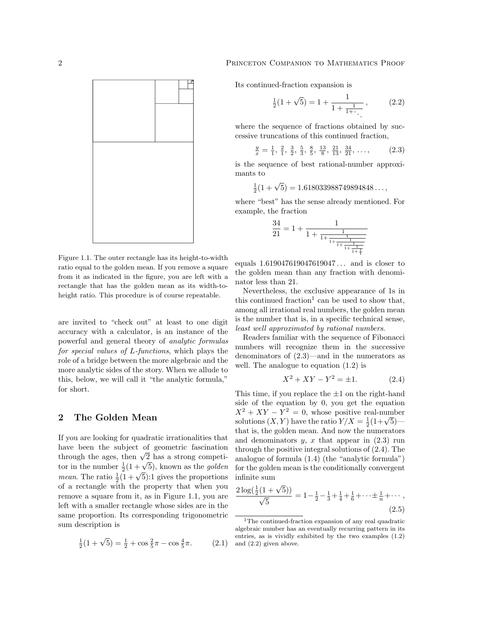Figure 1.1. The outer rectangle has its height-to-width ratio equal to the golden mean. If you remove a square from it as indicated in the figure, you are left with a rectangle that has the golden mean as its width-toheight ratio. This procedure is of course repeatable.

are invited to "check out" at least to one digit accuracy with a calculator, is an instance of the powerful and general theory of analytic formulas for special values of L-functions, which plays the role of a bridge between the more algebraic and the more analytic sides of the story. When we allude to this, below, we will call it "the analytic formula," for short.

## **2 The Golden Mean**

If you are looking for quadratic irrationalities that have been the subject of geometric fascination through the ages, then  $\sqrt{2}$  has a strong competithrough the ages, then  $\sqrt{2}$  has a strong competitor in the number  $\frac{1}{2}(1+\sqrt{5})$ , known as the *golden* tor in the nation  $\frac{1}{2}(1+\sqrt{5})$ : All gives the proportions of a rectangle with the property that when you remove a square from it, as in Figure 1.1, you are left with a smaller rectangle whose sides are in the same proportion. Its corresponding trigonometric sum description is

$$
\frac{1}{2}(1+\sqrt{5}) = \frac{1}{2} + \cos\frac{2}{5}\pi - \cos\frac{4}{5}\pi. \tag{2.1}
$$

Its continued-fraction expansion is

$$
\frac{1}{2}(1+\sqrt{5}) = 1 + \frac{1}{1+\frac{1}{1+\ddots}}, \qquad (2.2)
$$

where the sequence of fractions obtained by successive truncations of this continued fraction,

$$
\frac{y}{x} = \frac{1}{1}, \frac{2}{1}, \frac{3}{2}, \frac{5}{3}, \frac{8}{5}, \frac{13}{8}, \frac{21}{13}, \frac{34}{21}, \dots,
$$
 (2.3)

is the sequence of best rational-number approximants to

$$
\frac{1}{2}(1+\sqrt{5})=1.618033988749894848\dots,
$$

where "best" has the sense already mentioned. For example, the fraction

$$
\frac{34}{21}=1+\frac{1}{1+\frac{1}{1+\frac{1}{1+\frac{1}{1+\frac{1}{1+\frac{1}{1+\frac{1}{1+\frac{1}{1}}}}}}}}
$$

equals 1.619047619047619047 ... and is closer to the golden mean than any fraction with denominator less than 21.

Nevertheless, the exclusive appearance of 1s in this continued fraction<sup>1</sup> can be used to show that, among all irrational real numbers, the golden mean is the number that is, in a specific technical sense, least well approximated by rational numbers.

Readers familiar with the sequence of Fibonacci numbers will recognize them in the successive denominators of (2.3)—and in the numerators as well. The analogue to equation (1.2) is

$$
X^2 + XY - Y^2 = \pm 1.
$$
 (2.4)

This time, if you replace the  $\pm 1$  on the right-hand side of the equation by 0, you get the equation  $X^2 + XY - Y^2 = 0$ , whose positive real-number  $X^2 + XY - Y^2 = 0$ , whose positive real-number<br>solutions  $(X, Y)$  have the ratio  $Y/X = \frac{1}{2}(1+\sqrt{5})$ that is, the golden mean. And now the numerators and denominators  $y, x$  that appear in  $(2.3)$  run through the positive integral solutions of (2.4). The analogue of formula (1.4) (the "analytic formula") for the golden mean is the conditionally convergent infinite sum

$$
\frac{2\log(\frac{1}{2}(1+\sqrt{5}))}{\sqrt{5}} = 1 - \frac{1}{2} - \frac{1}{3} + \frac{1}{4} + \frac{1}{6} + \dots \pm \frac{1}{n} + \dots,
$$
\n(2.5)

<sup>1</sup>The continued-fraction expansion of any real quadratic algebraic number has an eventually recurring pattern in its entries, as is vividly exhibited by the two examples (1.2) and (2.2) given above.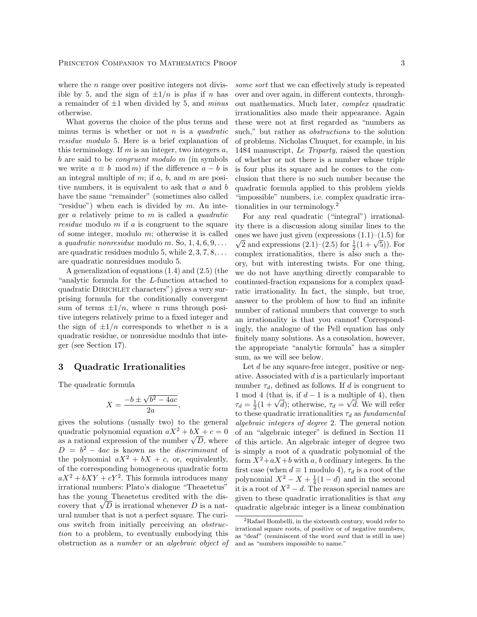where the  $n$  range over positive integers not divisible by 5, and the sign of  $\pm 1/n$  is plus if n has a remainder of  $\pm 1$  when divided by 5, and minus otherwise.

What governs the choice of the plus terms and minus terms is whether or not  $n$  is a quadratic residue modulo 5. Here is a brief explanation of this terminology. If  $m$  is an integer, two integers  $a$ , b are said to be congruent modulo m (in symbols we write  $a \equiv b \mod m$  if the difference  $a - b$  is an integral multiple of  $m$ ; if  $a, b$ , and  $m$  are positive numbers, it is equivalent to ask that  $a$  and  $b$ have the same "remainder" (sometimes also called "residue") when each is divided by  $m$ . An integer  $\alpha$  relatively prime to  $m$  is called a *quadratic* residue modulo m if a is congruent to the square of some integer, modulo m; otherwise it is called a quadratic nonresidue modulo m. So,  $1, 4, 6, 9, \ldots$ are quadratic residues modulo 5, while 2, 3, 7, 8,... are quadratic nonresidues modulo 5.

A generalization of equations (1.4) and (2.5) (the "analytic formula for the L-function attached to quadratic DIRICHLET characters") gives a very surprising formula for the conditionally convergent sum of terms  $\pm 1/n$ , where *n* runs through positive integers relatively prime to a fixed integer and the sign of  $\pm 1/n$  corresponds to whether *n* is a quadratic residue, or nonresidue modulo that integer (see Section 17).

## **3 Quadratic Irrationalities**

The quadratic formula

$$
X = \frac{-b \pm \sqrt{b^2 - 4ac}}{2a},
$$

gives the solutions (usually two) to the general quadratic polynomial equation  $aX^2 + bX + c = 0$ quadratic polynomial equation  $aX^+ + bX + c = 0$ <br>as a rational expression of the number  $\sqrt{D}$ , where  $D = b<sup>2</sup> - 4ac$  is known as the *discriminant* of the polynomial  $aX^2 + bX + c$ , or, equivalently, of the corresponding homogeneous quadratic form  $aX^2 + bXY + cY^2$ . This formula introduces many irrational numbers: Plato's dialogue "Theaetetus" has the young Theaetetus credited with the disnas the young 1 neaetetus credited with the discovery that  $\sqrt{D}$  is irrational whenever D is a natural number that is not a perfect square. The curious switch from initially perceiving an obstruction to a problem, to eventually embodying this obstruction as a number or an algebraic object of some sort that we can effectively study is repeated over and over again, in different contexts, throughout mathematics. Much later, complex quadratic irrationalities also made their appearance. Again these were not at first regarded as "numbers as such," but rather as *obstructions* to the solution of problems. Nicholas Chuquet, for example, in his 1484 manuscript, Le Triparty, raised the question of whether or not there is a number whose triple is four plus its square and he comes to the conclusion that there is no such number because the quadratic formula applied to this problem yields "impossible" numbers, i.e. complex quadratic irrationalities in our terminology.<sup>2</sup>

For any real quadratic ("integral") irrationality there is a discussion along similar lines to the ones we have just given (expressions  $(1.1)$ – $(1.5)$  for ones we nave just given (expressions  $(1.1)$ – $(1.5)$  for  $\sqrt{2}$  and expressions  $(2.1)$ – $(2.5)$  for  $\frac{1}{2}(1+\sqrt{5})$ ). For complex irrationalities, there is also such a theory, but with interesting twists. For one thing, we do not have anything directly comparable to continued-fraction expansions for a complex quadratic irrationality. In fact, the simple, but true, answer to the problem of how to find an infinite number of rational numbers that converge to such an irrationality is that you cannot! Correspondingly, the analogue of the Pell equation has only finitely many solutions. As a consolation, however, the appropriate "analytic formula" has a simpler sum, as we will see below.

Let  $d$  be any square-free integer, positive or negative. Associated with  $d$  is a particularly important number  $\tau_d$ , defined as follows. If d is congruent to 1 mod 4 (that is, if  $d-1$  is a multiple of 4), then T mod 4 (that is, if  $a - 1$  is a multiple of 4), then<br>  $\tau_d = \frac{1}{2}(1 + \sqrt{d})$ ; otherwise,  $\tau_d = \sqrt{d}$ . We will refer to these quadratic irrationalities  $\tau_d$  as fundamental algebraic integers of degree 2. The general notion of an "algebraic integer" is defined in Section 11 of this article. An algebraic integer of degree two is simply a root of a quadratic polynomial of the form  $X^2+aX+b$  with a, b ordinary integers. In the first case (when  $d \equiv 1 \text{ modulo } 4$ ),  $\tau_d$  is a root of the polynomial  $X^2 - X + \frac{1}{4}(1-d)$  and in the second it is a root of  $X^2 - d$ . The reason special names are given to these quadratic irrationalities is that any quadratic algebraic integer is a linear combination

<sup>2</sup>Rafael Bombelli, in the sixteenth century, would refer to irrational square roots, of positive or of negative numbers, as "deaf" (reminiscent of the word surd that is still in use) and as "numbers impossible to name."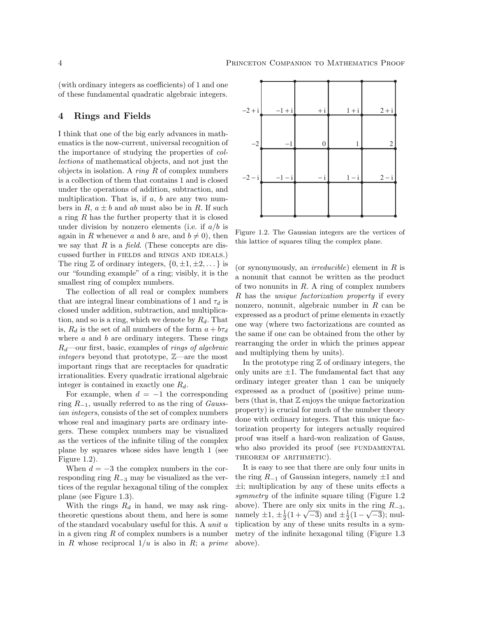(with ordinary integers as coefficients) of 1 and one of these fundamental quadratic algebraic integers.

#### **4 Rings and Fields**

I think that one of the big early advances in mathematics is the now-current, universal recognition of the importance of studying the properties of collections of mathematical objects, and not just the objects in isolation. A *ring*  $R$  of complex numbers is a collection of them that contains 1 and is closed under the operations of addition, subtraction, and multiplication. That is, if  $a, b$  are any two numbers in R,  $a \pm b$  and ab must also be in R. If such a ring  $R$  has the further property that it is closed under division by nonzero elements (i.e. if  $a/b$  is again in R whenever a and b are, and  $b \neq 0$ , then we say that  $R$  is a *field*. (These concepts are discussed further in FIELDS and RINGS AND IDEALS.) The ring  $\mathbb Z$  of ordinary integers,  $\{0, \pm 1, \pm 2, \dots\}$  is our "founding example" of a ring; visibly, it is the smallest ring of complex numbers.

The collection of all real or complex numbers that are integral linear combinations of 1 and  $\tau_d$  is closed under addition, subtraction, and multiplication, and so is a ring, which we denote by  $R_d$ . That is,  $R_d$  is the set of all numbers of the form  $a + b\tau_d$ where  $a$  and  $b$  are ordinary integers. These rings  $R_d$ —our first, basic, examples of *rings of algebraic* integers beyond that prototype, Z—are the most important rings that are receptacles for quadratic irrationalities. Every quadratic irrational algebraic integer is contained in exactly one  $R_d$ .

For example, when  $d = -1$  the corresponding ring  $R_{-1}$ , usually referred to as the ring of Gaussian integers, consists of the set of complex numbers whose real and imaginary parts are ordinary integers. These complex numbers may be visualized as the vertices of the infinite tiling of the complex plane by squares whose sides have length 1 (see Figure 1.2).

When  $d = -3$  the complex numbers in the corresponding ring  $R_{-3}$  may be visualized as the vertices of the regular hexagonal tiling of the complex plane (see Figure 1.3).

With the rings  $R_d$  in hand, we may ask ringtheoretic questions about them, and here is some of the standard vocabulary useful for this. A unit u in a given ring  $R$  of complex numbers is a number in R whose reciprocal  $1/u$  is also in R; a prime

| $-2 + i$ | $-1+i$   | $+ i$        | $1 + i$      | $2 + i$        |
|----------|----------|--------------|--------------|----------------|
| $-2$     | $-1\,$   | $\mathbf{0}$ | $\mathbf{1}$ | $\overline{2}$ |
| $-2 - i$ | $-1 - i$ | $- i$        | $1 - i$      | $2 - i$        |
|          |          |              |              |                |

Figure 1.2. The Gaussian integers are the vertices of this lattice of squares tiling the complex plane.

(or synonymously, an *irreducible*) element in  $R$  is a nonunit that cannot be written as the product of two nonunits in  $R$ . A ring of complex numbers R has the unique factorization property if every nonzero, nonunit, algebraic number in R can be expressed as a product of prime elements in exactly one way (where two factorizations are counted as the same if one can be obtained from the other by rearranging the order in which the primes appear and multiplying them by units).

In the prototype ring  $Z$  of ordinary integers, the only units are  $\pm 1$ . The fundamental fact that any ordinary integer greater than 1 can be uniquely expressed as a product of (positive) prime numbers (that is, that  $\mathbb Z$  enjoys the unique factorization property) is crucial for much of the number theory done with ordinary integers. That this unique factorization property for integers actually required proof was itself a hard-won realization of Gauss, who also provided its proof (see FUNDAMENTAL theorem of arithmetic).

It is easy to see that there are only four units in the ring  $R_{-1}$  of Gaussian integers, namely  $\pm 1$  and  $\pm i$ ; multiplication by any of these units effects a symmetry of the infinite square tiling (Figure 1.2) above). There are only six units in the ring  $R_{-3}$ , above). There are only six units in the ring  $R_{-3}$ ,<br>namely  $\pm 1$ ,  $\pm \frac{1}{2}(1+\sqrt{-3})$  and  $\pm \frac{1}{2}(1-\sqrt{-3})$ ; multiplication by any of these units results in a symmetry of the infinite hexagonal tiling (Figure 1.3 above).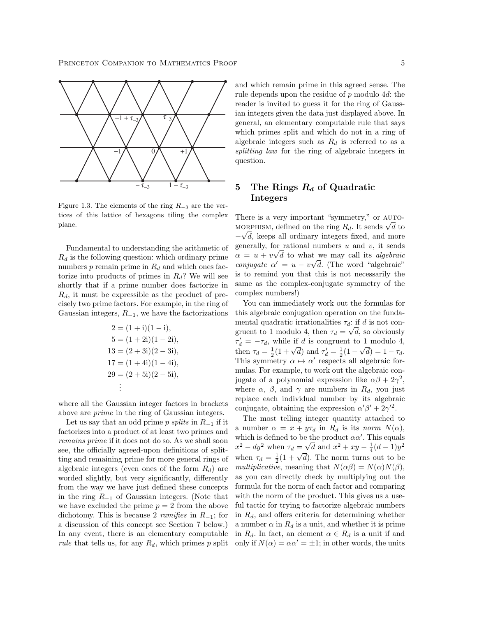

Figure 1.3. The elements of the ring  $R_{-3}$  are the vertices of this lattice of hexagons tiling the complex plane.

Fundamental to understanding the arithmetic of  $R_d$  is the following question: which ordinary prime numbers  $p$  remain prime in  $R_d$  and which ones factorize into products of primes in  $R_d$ ? We will see shortly that if a prime number does factorize in  $R_d$ , it must be expressible as the product of precisely two prime factors. For example, in the ring of Gaussian integers,  $R_{-1}$ , we have the factorizations

$$
2 = (1 + i)(1 - i),
$$
  
\n
$$
5 = (1 + 2i)(1 - 2i),
$$
  
\n
$$
13 = (2 + 3i)(2 - 3i),
$$
  
\n
$$
17 = (1 + 4i)(1 - 4i),
$$
  
\n
$$
29 = (2 + 5i)(2 - 5i),
$$
  
\n
$$
\vdots
$$

where all the Gaussian integer factors in brackets above are prime in the ring of Gaussian integers.

Let us say that an odd prime p splits in  $R_{-1}$  if it factorizes into a product of at least two primes and remains prime if it does not do so. As we shall soon see, the officially agreed-upon definitions of splitting and remaining prime for more general rings of algebraic integers (even ones of the form  $R_d$ ) are worded slightly, but very significantly, differently from the way we have just defined these concepts in the ring  $R_{-1}$  of Gaussian integers. (Note that we have excluded the prime  $p = 2$  from the above dichotomy. This is because 2 *ramifies* in  $R_{-1}$ ; for a discussion of this concept see Section 7 below.) In any event, there is an elementary computable rule that tells us, for any  $R_d$ , which primes p split

and which remain prime in this agreed sense. The rule depends upon the residue of p modulo 4d: the reader is invited to guess it for the ring of Gaussian integers given the data just displayed above. In general, an elementary computable rule that says which primes split and which do not in a ring of algebraic integers such as  $R_d$  is referred to as a splitting law for the ring of algebraic integers in question.

# **5 The Rings** *R<sup>d</sup>* **of Quadratic Integers**

There is a very important "symmetry," or AUTO-There is a very important "symmetry," or AUTO-<br>MORPHISM, defined on the ring  $R_d$ . It sends  $\sqrt{d}$  to  $-\sqrt{d}$ , keeps all ordinary integers fixed, and more generally, for rational numbers  $u$  and  $v$ , it sends  $\alpha = u + v \sqrt{d}$  to what we may call its *algebraic* conjugate  $\alpha' = u - v \sqrt{d}$ . (The word "algebraic" is to remind you that this is not necessarily the same as the complex-conjugate symmetry of the complex numbers!)

You can immediately work out the formulas for this algebraic conjugation operation on the fundamental quadratic irrationalities  $\tau_d$ : if d is not conmental quadratic irrationalities  $\tau_d$ : if a is not congruent to 1 modulo 4, then  $\tau_d = \sqrt{d}$ , so obviously  $\tau_d' = -\tau_d$ , while if d is congruent to 1 modulo 4,  $\tau_d = -\tau_d$ , while if a is congruent to 1 modulo 4,<br>then  $\tau_d = \frac{1}{2}(1 + \sqrt{d})$  and  $\tau'_d = \frac{1}{2}(1 - \sqrt{d}) = 1 - \tau_d$ . This symmetry  $\alpha \mapsto \alpha'$  respects all algebraic formulas. For example, to work out the algebraic conjugate of a polynomial expression like  $\alpha\beta + 2\gamma^2$ , where  $\alpha$ ,  $\beta$ , and  $\gamma$  are numbers in  $R_d$ , you just replace each individual number by its algebraic conjugate, obtaining the expression  $\alpha' \beta' + 2\gamma'^2$ .

The most telling integer quantity attached to a number  $\alpha = x + y\tau_d$  in  $R_d$  is its norm  $N(\alpha)$ , which is defined to be the product  $\alpha \alpha'$ . This equals which is defined to be the product  $\alpha\alpha$ . This equals  $x^2 - dy^2$  when  $\tau_d = \sqrt{d}$  and  $x^2 + xy - \frac{1}{4}(d-1)y^2$ when  $\tau_d = \frac{1}{2}(1 + \sqrt{d})$ . The norm turns out to be multiplicative, meaning that  $N(\alpha\beta) = N(\alpha)N(\beta)$ , as you can directly check by multiplying out the formula for the norm of each factor and comparing with the norm of the product. This gives us a useful tactic for trying to factorize algebraic numbers in  $R_d$ , and offers criteria for determining whether a number  $\alpha$  in  $R_d$  is a unit, and whether it is prime in  $R_d$ . In fact, an element  $\alpha \in R_d$  is a unit if and only if  $N(\alpha) = \alpha \alpha' = \pm 1$ ; in other words, the units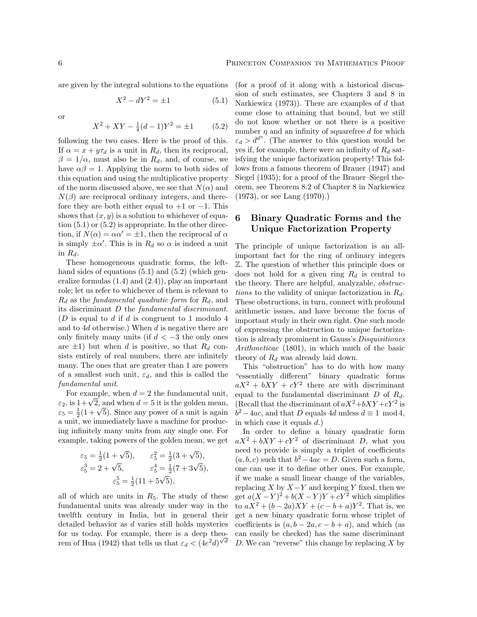are given by the integral solutions to the equations

$$
X^2 - dY^2 = \pm 1
$$
 (5.1)

or

$$
X^2 + XY - \frac{1}{4}(d-1)Y^2 = \pm 1
$$
 (5.2)

following the two cases. Here is the proof of this. If  $\alpha = x + y\tau_d$  is a unit in  $R_d$ , then its reciprocal,  $\beta = 1/\alpha$ , must also be in  $R_d$ , and, of course, we have  $\alpha\beta = 1$ . Applying the norm to both sides of this equation and using the multiplicative property of the norm discussed above, we see that  $N(\alpha)$  and  $N(\beta)$  are reciprocal ordinary integers, and therefore they are both either equal to  $+1$  or  $-1$ . This shows that  $(x, y)$  is a solution to whichever of equation  $(5.1)$  or  $(5.2)$  is appropriate. In the other direction, if  $N(\alpha) = \alpha \alpha' = \pm 1$ , then the reciprocal of  $\alpha$ is simply  $\pm \alpha'$ . This is in  $R_d$  so  $\alpha$  is indeed a unit in  $R_d$ .

These homogeneous quadratic forms, the lefthand sides of equations  $(5.1)$  and  $(5.2)$  (which generalize formulas (1.4) and (2.4)), play an important role; let us refer to whichever of them is relevant to  $R_d$  as the fundamental quadratic form for  $R_d$ , and its discriminant D the fundamental discriminant. (D is equal to d if d is congruent to 1 modulo 4 and to  $4d$  otherwise.) When d is negative there are only finitely many units (if  $d < -3$  the only ones are  $\pm 1$ ) but when d is positive, so that  $R_d$  consists entirely of real numbers, there are infinitely many. The ones that are greater than 1 are powers of a smallest such unit,  $\varepsilon_d$ , and this is called the fundamental unit.

For example, when  $d = 2$  the fundamental unit,  $\varepsilon_2$ , is  $1+\sqrt{2}$ , and when  $d=5$  it is the golden mean,  $\varepsilon_5 = \frac{1}{2}(1+\sqrt{5})$ . Since any power of a unit is again a unit, we immediately have a machine for producing infinitely many units from any single one. For example, taking powers of the golden mean, we get

$$
\varepsilon_5 = \frac{1}{2}(1+\sqrt{5}), \qquad \varepsilon_5^2 = \frac{1}{2}(3+\sqrt{5}), \n\varepsilon_5^3 = 2+\sqrt{5}, \qquad \varepsilon_5^4 = \frac{1}{2}(7+3\sqrt{5}), \n\varepsilon_5^5 = \frac{1}{2}(11+5\sqrt{5}),
$$

all of which are units in  $R_5$ . The study of these fundamental units was already under way in the twelfth century in India, but in general their detailed behavior as d varies still holds mysteries for us today. For example, there is a deep theorem of Hua (1942) that tells us that  $\varepsilon_d < (4e^2d)^{\sqrt{d}}$ 

(for a proof of it along with a historical discussion of such estimates, see Chapters 3 and 8 in Narkiewicz  $(1973)$ ). There are examples of d that come close to attaining that bound, but we still do not know whether or not there is a positive number  $\eta$  and an infinity of squarefree d for which  $\varepsilon_d > d^{d^{\eta}}$ . (The answer to this question would be yes if, for example, there were an infinity of  $R_d$  satisfying the unique factorization property! This follows from a famous theorem of Brauer (1947) and Siegel (1935); for a proof of the Brauer–Siegel theorem, see Theorem 8.2 of Chapter 8 in Narkiewicz (1973), or see Lang (1970).)

# **6 Binary Quadratic Forms and the Unique Factorization Property**

The principle of unique factorization is an allimportant fact for the ring of ordinary integers Z. The question of whether this principle does or does not hold for a given ring  $R_d$  is central to the theory. There are helpful, analyzable, obstructions to the validity of unique factorization in  $R_d$ . These obstructions, in turn, connect with profound arithmetic issues, and have become the focus of important study in their own right. One such mode of expressing the obstruction to unique factorization is already prominent in Gauss's Disquisitiones Arithmeticae (1801), in which much of the basic theory of  $R_d$  was already laid down.

This "obstruction" has to do with how many "essentially different" binary quadratic forms  $aX^2 + bXY + cY^2$  there are with discriminant equal to the fundamental discriminant  $D$  of  $R_d$ . (Recall that the discriminant of  $aX^2+bXY+cY^2$  is  $b^2-4ac$ , and that D equals 4d unless  $d \equiv 1 \mod 4$ , in which case it equals  $d$ .)

In order to define a binary quadratic form  $aX^2 + bXY + cY^2$  of discriminant D, what you need to provide is simply a triplet of coefficients  $(a, b, c)$  such that  $b^2 - 4ac = D$ . Given such a form, one can use it to define other ones. For example, if we make a small linear change of the variables, replacing X by  $X-Y$  and keeping Y fixed, then we get  $a(X - Y)^2 + b(X - Y)Y + cY^2$  which simplifies to  $aX^2 + (b-2a)XY + (c-b+a)Y^2$ . That is, we get a new binary quadratic form whose triplet of coefficients is  $(a, b - 2a, c - b + a)$ , and which (as can easily be checked) has the same discriminant D. We can "reverse" this change by replacing  $X$  by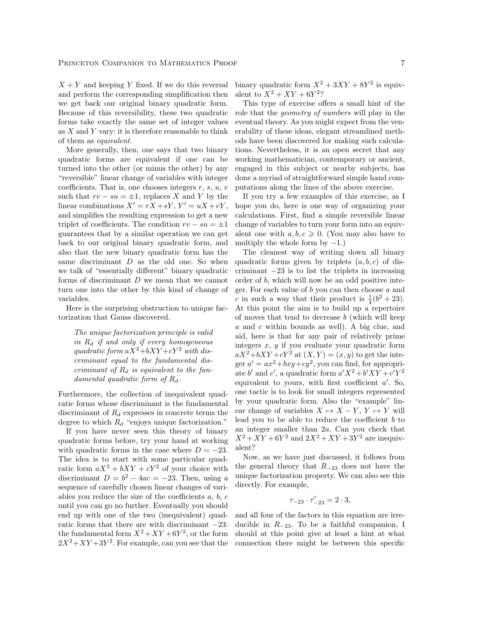$X + Y$  and keeping Y fixed. If we do this reversal and perform the corresponding simplification then we get back our original binary quadratic form. Because of this reversibility, these two quadratic forms take exactly the same set of integer values as  $X$  and  $Y$  vary: it is therefore reasonable to think of them as equivalent.

More generally, then, one says that two binary quadratic forms are equivalent if one can be turned into the other (or minus the other) by any "reversible" linear change of variables with integer coefficients. That is, one chooses integers  $r, s, u, v$ such that  $rv - su = \pm 1$ , replaces X and Y by the linear combinations  $X' = rX + sY$ ,  $Y' = uX + vY$ , and simplifies the resulting expression to get a new triplet of coefficients. The condition  $rv - su = \pm 1$ guarantees that by a similar operation we can get back to our original binary quadratic form, and also that the new binary quadratic form has the same discriminant  $D$  as the old one. So when we talk of "essentially different" binary quadratic forms of discriminant D we mean that we cannot turn one into the other by this kind of change of variables.

Here is the surprising obstruction to unique factorization that Gauss discovered.

The unique factorization principle is valid in  $R_d$  if and only if every homogeneous quadratic form  $aX^2+bXY+cY^2$  with discriminant equal to the fundamental discriminant of  $R_d$  is equivalent to the fundamental quadratic form of  $R_d$ .

Furthermore, the collection of inequivalent quadratic forms whose discriminant is the fundamental discriminant of  $R_d$  expresses in concrete terms the degree to which  $R_d$  "enjoys unique factorization."

If you have never seen this theory of binary quadratic forms before, try your hand at working with quadratic forms in the case where  $D = -23$ . The idea is to start with some particular quadratic form  $aX^2 + bXY + cY^2$  of your choice with discriminant  $D = b^2 - 4ac = -23$ . Then, using a sequence of carefully chosen linear changes of variables you reduce the size of the coefficients  $a, b, c$ until you can go no further. Eventually you should end up with one of the two (inequivalent) quadratic forms that there are with discriminant −23: the fundamental form  $X^2+XY+6Y^2$ , or the form  $2X^2+XY+3Y^2$ . For example, can you see that the binary quadratic form  $X^2 + 3XY + 8Y^2$  is equivalent to  $X^2 + XY + 6Y^2$ ?

This type of exercise offers a small hint of the role that the geometry of numbers will play in the eventual theory. As you might expect from the venerability of these ideas, elegant streamlined methods have been discovered for making such calculations. Nevertheless, it is an open secret that any working mathematician, contemporary or ancient, engaged in this subject or nearby subjects, has done a myriad of straightforward simple hand computations along the lines of the above exercise.

If you try a few examples of this exercise, as I hope you do, here is one way of organizing your calculations. First, find a simple reversible linear change of variables to turn your form into an equivalent one with  $a, b, c \geq 0$ . (You may also have to multiply the whole form by  $-1$ .)

The cleanest way of writing down all binary quadratic forms given by triplets  $(a, b, c)$  of discriminant  $-23$  is to list the triplets in increasing order of b, which will now be an odd positive integer. For each value of b you can then choose a and c in such a way that their product is  $\frac{1}{4}(b^2+23)$ . At this point the aim is to build up a repertoire of moves that tend to decrease  $b$  (which will keep a and c within bounds as well). A big clue, and aid, here is that for any pair of relatively prime integers  $x, y$  if you evaluate your quadratic form  $aX^2+bXY+cY^2$  at  $(X, Y) = (x, y)$  to get the integer  $a' = ax^2 + bxy + cy^2$ , you can find, for appropriate b' and c', a quadratic form  $a'X^2 + b'XY + c'Y^2$ equivalent to yours, with first coefficient  $a'$ . So, one tactic is to look for small integers represented by your quadratic form. Also the "example" linear change of variables  $X \mapsto X - Y$ ,  $Y \mapsto Y$  will lead you to be able to reduce the coefficient  $b$  to an integer smaller than 2a. Can you check that  $X^2+XY+6Y^2$  and  $2X^2+XY+3Y^2$  are inequivalent?

Now, as we have just discussed, it follows from the general theory that  $R_{-23}$  does not have the unique factorization property. We can also see this directly. For example,

$$
\tau_{-23} \cdot \tau_{-23}' = 2 \cdot 3,
$$

and all four of the factors in this equation are irreducible in  $R_{-23}$ . To be a faithful companion, I should at this point give at least a hint at what connection there might be between this specific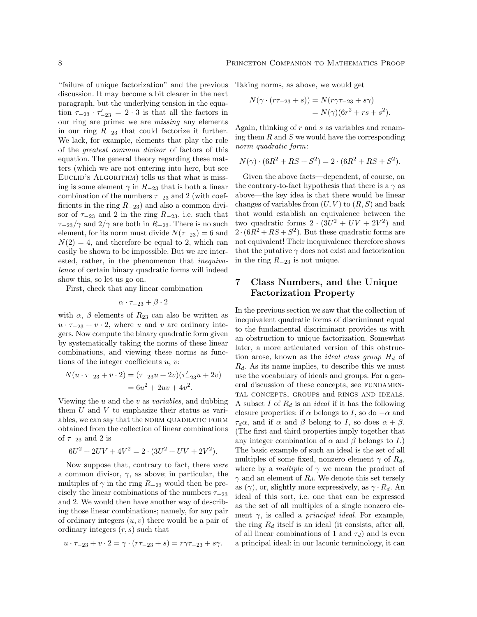"failure of unique factorization" and the previous discussion. It may become a bit clearer in the next paragraph, but the underlying tension in the equation  $\tau_{-23}$  ·  $\tau'_{-23}$  = 2 · 3 is that all the factors in our ring are prime: we are missing any elements in our ring  $R_{-23}$  that could factorize it further. We lack, for example, elements that play the role of the greatest common divisor of factors of this equation. The general theory regarding these matters (which we are not entering into here, but see EUCLID'S ALGORITHM) tells us that what is missing is some element  $\gamma$  in  $R_{-23}$  that is both a linear combination of the numbers  $\tau_{-23}$  and 2 (with coefficients in the ring  $R_{-23}$ ) and also a common divisor of  $\tau_{-23}$  and 2 in the ring  $R_{-23}$ , i.e. such that  $\tau_{-23}/\gamma$  and  $2/\gamma$  are both in  $R_{-23}$ . There is no such element, for its norm must divide  $N(\tau_{-23}) = 6$  and  $N(2) = 4$ , and therefore be equal to 2, which can easily be shown to be impossible. But we are interested, rather, in the phenomenon that inequivalence of certain binary quadratic forms will indeed show this, so let us go on.

First, check that any linear combination

 $\alpha \cdot \tau_{-23} + \beta \cdot 2$ 

with  $\alpha$ ,  $\beta$  elements of  $R_{23}$  can also be written as  $u \cdot \tau_{-23} + v \cdot 2$ , where u and v are ordinary integers. Now compute the binary quadratic form given by systematically taking the norms of these linear combinations, and viewing these norms as functions of the integer coefficients  $u, v$ :

$$
N(u \cdot \tau_{-23} + v \cdot 2) = (\tau_{-23}u + 2v)(\tau'_{-23}u + 2v)
$$
  
=  $6u^2 + 2uv + 4v^2$ .

Viewing the  $u$  and the  $v$  as *variables*, and dubbing them  $U$  and  $V$  to emphasize their status as variables, we can say that the NORM QUADRATIC FORM obtained from the collection of linear combinations of  $\tau_{-23}$  and 2 is

$$
6U^2 + 2UV + 4V^2 = 2 \cdot (3U^2 + UV + 2V^2).
$$

Now suppose that, contrary to fact, there were a common divisor,  $\gamma$ , as above; in particular, the multiples of  $\gamma$  in the ring  $R_{-23}$  would then be precisely the linear combinations of the numbers  $\tau_{-23}$ and 2. We would then have another way of describing those linear combinations; namely, for any pair of ordinary integers  $(u, v)$  there would be a pair of ordinary integers  $(r, s)$  such that

$$
u \cdot \tau_{-23} + v \cdot 2 = \gamma \cdot (r\tau_{-23} + s) = r\gamma \tau_{-23} + s\gamma.
$$

Taking norms, as above, we would get

$$
N(\gamma \cdot (r\tau_{-23} + s)) = N(r\gamma \tau_{-23} + s\gamma)
$$
  
=  $N(\gamma)(6r^2 + rs + s^2)$ .

Again, thinking of  $r$  and  $s$  as variables and renaming them  $R$  and  $S$  we would have the corresponding norm quadratic form:

$$
N(\gamma) \cdot (6R^2 + RS + S^2) = 2 \cdot (6R^2 + RS + S^2).
$$

Given the above facts—dependent, of course, on the contrary-to-fact hypothesis that there is a  $\gamma$  as above—the key idea is that there would be linear changes of variables from  $(U, V)$  to  $(R, S)$  and back that would establish an equivalence between the two quadratic forms  $2 \cdot (3U^2 + UV + 2V^2)$  and  $2\cdot (6R^2 + RS + S^2)$ . But these quadratic forms are not equivalent! Their inequivalence therefore shows that the putative  $\gamma$  does not exist and factorization in the ring  $R_{-23}$  is not unique.

## **7 Class Numbers, and the Unique Factorization Property**

In the previous section we saw that the collection of inequivalent quadratic forms of discriminant equal to the fundamental discriminant provides us with an obstruction to unique factorization. Somewhat later, a more articulated version of this obstruction arose, known as the *ideal class group*  $H_d$  of  $R_d$ . As its name implies, to describe this we must use the vocabulary of ideals and groups. For a general discussion of these concepts, see FUNDAMENtal concepts, groups and rings and ideals. A subset I of  $R_d$  is an *ideal* if it has the following closure properties: if  $\alpha$  belongs to I, so do  $-\alpha$  and  $\tau_d\alpha$ , and if  $\alpha$  and  $\beta$  belong to I, so does  $\alpha + \beta$ . (The first and third properties imply together that any integer combination of  $\alpha$  and  $\beta$  belongs to I.) The basic example of such an ideal is the set of all multiples of some fixed, nonzero element  $\gamma$  of  $R_d$ , where by a *multiple* of  $\gamma$  we mean the product of  $\gamma$  and an element of  $R_d$ . We denote this set tersely as  $(\gamma)$ , or, slightly more expressively, as  $\gamma \cdot R_d$ . An ideal of this sort, i.e. one that can be expressed as the set of all multiples of a single nonzero element  $\gamma$ , is called a *principal ideal*. For example, the ring  $R_d$  itself is an ideal (it consists, after all, of all linear combinations of 1 and  $\tau_d$ ) and is even a principal ideal: in our laconic terminology, it can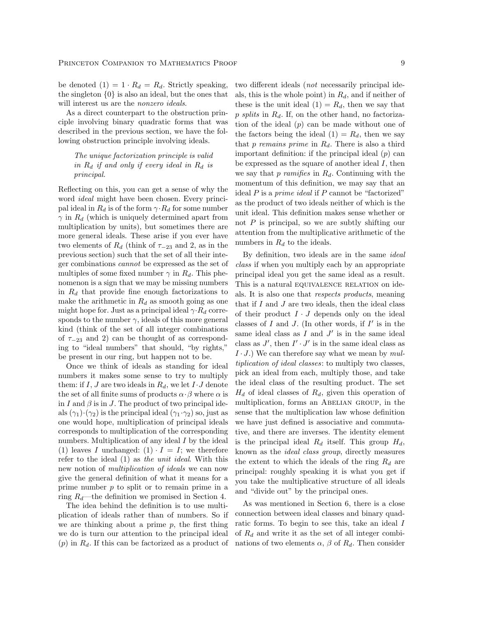be denoted  $(1) = 1 \cdot R_d = R_d$ . Strictly speaking, the singleton {0} is also an ideal, but the ones that will interest us are the nonzero ideals.

As a direct counterpart to the obstruction principle involving binary quadratic forms that was described in the previous section, we have the following obstruction principle involving ideals.

## The unique factorization principle is valid in  $R_d$  if and only if every ideal in  $R_d$  is principal.

Reflecting on this, you can get a sense of why the word ideal might have been chosen. Every principal ideal in  $R_d$  is of the form  $\gamma \cdot R_d$  for some number  $\gamma$  in  $R_d$  (which is uniquely determined apart from multiplication by units), but sometimes there are more general ideals. These arise if you ever have two elements of  $R_d$  (think of  $\tau_{-23}$  and 2, as in the previous section) such that the set of all their integer combinations cannot be expressed as the set of multiples of some fixed number  $\gamma$  in  $R_d$ . This phenomenon is a sign that we may be missing numbers in  $R_d$  that provide fine enough factorizations to make the arithmetic in  $R_d$  as smooth going as one might hope for. Just as a principal ideal  $\gamma \cdot R_d$  corresponds to the number  $\gamma$ , ideals of this more general kind (think of the set of all integer combinations of  $\tau_{-23}$  and 2) can be thought of as corresponding to "ideal numbers" that should, "by rights," be present in our ring, but happen not to be.

Once we think of ideals as standing for ideal numbers it makes some sense to try to multiply them: if I, J are two ideals in  $R_d$ , we let  $I \cdot J$  denote the set of all finite sums of products  $\alpha \cdot \beta$  where  $\alpha$  is in I and  $\beta$  is in J. The product of two principal ideals  $(\gamma_1) \cdot (\gamma_2)$  is the principal ideal  $(\gamma_1 \cdot \gamma_2)$  so, just as one would hope, multiplication of principal ideals corresponds to multiplication of the corresponding numbers. Multiplication of any ideal  $I$  by the ideal (1) leaves I unchanged:  $(1) \cdot I = I$ ; we therefore refer to the ideal (1) as the unit ideal. With this new notion of multiplication of ideals we can now give the general definition of what it means for a prime number  $p$  to split or to remain prime in a ring  $R_d$ —the definition we promised in Section 4.

The idea behind the definition is to use multiplication of ideals rather than of numbers. So if we are thinking about a prime  $p$ , the first thing we do is turn our attention to the principal ideal  $(p)$  in  $R_d$ . If this can be factorized as a product of two different ideals (not necessarily principal ideals, this is the whole point) in  $R_d$ , and if neither of these is the unit ideal  $(1) = R_d$ , then we say that p splits in  $R_d$ . If, on the other hand, no factorization of the ideal  $(p)$  can be made without one of the factors being the ideal  $(1) = R_d$ , then we say that p remains prime in  $R_d$ . There is also a third important definition: if the principal ideal  $(p)$  can be expressed as the square of another ideal  $I$ , then we say that p ramifies in  $R_d$ . Continuing with the momentum of this definition, we may say that an ideal  $P$  is a *prime ideal* if  $P$  cannot be "factorized" as the product of two ideals neither of which is the unit ideal. This definition makes sense whether or not  $P$  is principal, so we are subtly shifting our attention from the multiplicative arithmetic of the numbers in  $R_d$  to the ideals.

By definition, two ideals are in the same *ideal* class if when you multiply each by an appropriate principal ideal you get the same ideal as a result. This is a natural EQUIVALENCE RELATION on ideals. It is also one that respects products, meaning that if  $I$  and  $J$  are two ideals, then the ideal class of their product  $I \cdot J$  depends only on the ideal classes of  $I$  and  $J$ . (In other words, if  $I'$  is in the same ideal class as  $I$  and  $J'$  is in the same ideal class as  $J'$ , then  $I' \cdot J'$  is in the same ideal class as  $I \cdot J$ .) We can therefore say what we mean by multiplication of ideal classes: to multiply two classes, pick an ideal from each, multiply those, and take the ideal class of the resulting product. The set  $H_d$  of ideal classes of  $R_d$ , given this operation of multiplication, forms an Abelian group, in the sense that the multiplication law whose definition we have just defined is associative and commutative, and there are inverses. The identity element is the principal ideal  $R_d$  itself. This group  $H_d$ , known as the ideal class group, directly measures the extent to which the ideals of the ring  $R_d$  are principal: roughly speaking it is what you get if you take the multiplicative structure of all ideals and "divide out" by the principal ones.

As was mentioned in Section 6, there is a close connection between ideal classes and binary quadratic forms. To begin to see this, take an ideal I of  $R_d$  and write it as the set of all integer combinations of two elements  $\alpha$ ,  $\beta$  of  $R_d$ . Then consider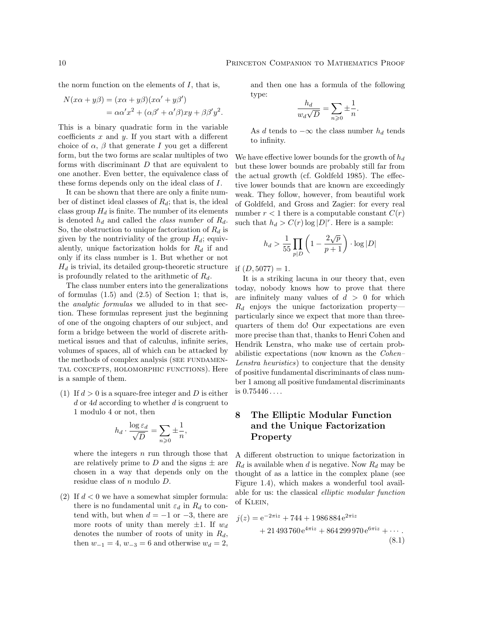the norm function on the elements of  $I$ , that is,

$$
N(x\alpha + y\beta) = (x\alpha + y\beta)(x\alpha' + y\beta')
$$
  
=  $\alpha\alpha'x^2 + (\alpha\beta' + \alpha'\beta)xy + \beta\beta'y^2$ .

This is a binary quadratic form in the variable coefficients  $x$  and  $y$ . If you start with a different choice of  $\alpha$ ,  $\beta$  that generate I you get a different form, but the two forms are scalar multiples of two forms with discriminant  $D$  that are equivalent to one another. Even better, the equivalence class of these forms depends only on the ideal class of I.

It can be shown that there are only a finite number of distinct ideal classes of  $R_d$ ; that is, the ideal class group  $H_d$  is finite. The number of its elements is denoted  $h_d$  and called the *class number* of  $R_d$ . So, the obstruction to unique factorization of  $R_d$  is given by the nontriviality of the group  $H_d$ ; equivalently, unique factorization holds for  $R_d$  if and only if its class number is 1. But whether or not  $H_d$  is trivial, its detailed group-theoretic structure is profoundly related to the arithmetic of  $R_d$ .

The class number enters into the generalizations of formulas  $(1.5)$  and  $(2.5)$  of Section 1; that is, the analytic formulas we alluded to in that section. These formulas represent just the beginning of one of the ongoing chapters of our subject, and form a bridge between the world of discrete arithmetical issues and that of calculus, infinite series, volumes of spaces, all of which can be attacked by the methods of complex analysis (SEE FUNDAMENtal concepts, holomorphic functions). Here is a sample of them.

(1) If  $d > 0$  is a square-free integer and D is either  $d$  or 4d according to whether  $d$  is congruent to 1 modulo 4 or not, then

$$
h_d \cdot \frac{\log \varepsilon_d}{\sqrt{D}} = \sum_{n \geqslant 0} \pm \frac{1}{n},
$$

where the integers  $n$  run through those that are relatively prime to D and the signs  $\pm$  are chosen in a way that depends only on the residue class of n modulo D.

(2) If  $d < 0$  we have a somewhat simpler formula: there is no fundamental unit  $\varepsilon_d$  in  $R_d$  to contend with, but when  $d = -1$  or  $-3$ , there are more roots of unity than merely  $\pm 1$ . If  $w_d$ denotes the number of roots of unity in  $R_d$ , then  $w_{-1} = 4$ ,  $w_{-3} = 6$  and otherwise  $w_d = 2$ ,

and then one has a formula of the following type:

$$
\frac{h_d}{w_d\sqrt{D}} = \sum_{n\geqslant 0} \pm \frac{1}{n}.
$$

As d tends to  $-\infty$  the class number  $h_d$  tends to infinity.

We have effective lower bounds for the growth of  $h_d$ but these lower bounds are probably still far from the actual growth (cf. Goldfeld 1985). The effective lower bounds that are known are exceedingly weak. They follow, however, from beautiful work of Goldfeld, and Gross and Zagier: for every real number  $r < 1$  there is a computable constant  $C(r)$ such that  $h_d > C(r) \log |D|^r$ . Here is a sample:

$$
h_d > \frac{1}{55} \prod_{p|D} \left( 1 - \frac{2\sqrt{p}}{p+1} \right) \cdot \log|D|
$$

if  $(D, 5077) = 1$ .

It is a striking lacuna in our theory that, even today, nobody knows how to prove that there are infinitely many values of  $d > 0$  for which  $R_d$  enjoys the unique factorization property particularly since we expect that more than threequarters of them do! Our expectations are even more precise than that, thanks to Henri Cohen and Hendrik Lenstra, who make use of certain probabilistic expectations (now known as the Cohen– Lenstra heuristics) to conjecture that the density of positive fundamental discriminants of class number 1 among all positive fundamental discriminants is  $0.75446\dots$ .

# **8 The Elliptic Modular Function and the Unique Factorization Property**

A different obstruction to unique factorization in  $R_d$  is available when d is negative. Now  $R_d$  may be thought of as a lattice in the complex plane (see Figure 1.4), which makes a wonderful tool available for us: the classical elliptic modular function of Klein,

$$
j(z) = e^{-2\pi i z} + 744 + 1986884 e^{2\pi i z}
$$
  
+ 21493760 e<sup>4\pi i z</sup> + 864299970 e<sup>6\pi i z</sup> + ... (8.1)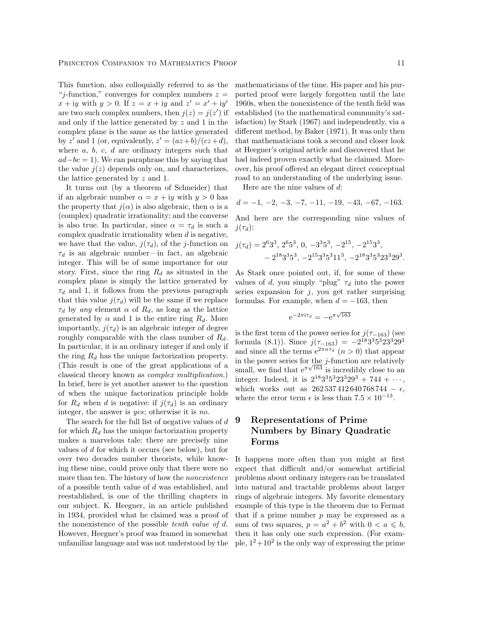This function, also colloquially referred to as the "j-function," converges for complex numbers  $z =$  $x + iy$  with  $y > 0$ . If  $z = x + iy$  and  $z' = x' + iy'$ are two such complex numbers, then  $j(z) = j(z')$  if and only if the lattice generated by z and 1 in the complex plane is the same as the lattice generated by z' and 1 (or, equivalently,  $z' = (az+b)/(cz+d)$ , where  $a, b, c, d$  are ordinary integers such that  $ad-bc = 1$ ). We can paraphrase this by saying that the value  $i(z)$  depends only on, and characterizes, the lattice generated by z and 1.

It turns out (by a theorem of Schneider) that if an algebraic number  $\alpha = x + iy$  with  $y > 0$  has the property that  $j(\alpha)$  is also algebraic, then  $\alpha$  is a (complex) quadratic irrationality; and the converse is also true. In particular, since  $\alpha = \tau_d$  is such a complex quadratic irrationality when  $d$  is negative, we have that the value,  $j(\tau_d)$ , of the j-function on  $\tau_d$  is an algebraic number—in fact, an algebraic integer. This will be of some importance for our story. First, since the ring  $R_d$  as situated in the complex plane is simply the lattice generated by  $\tau_d$  and 1, it follows from the previous paragraph that this value  $j(\tau_d)$  will be the same if we replace  $\tau_d$  by any element  $\alpha$  of  $R_d$ , as long as the lattice generated by  $\alpha$  and 1 is the entire ring  $R_d$ . More importantly,  $j(\tau_d)$  is an algebraic integer of degree roughly comparable with the class number of  $R_d$ . In particular, it is an ordinary integer if and only if the ring  $R_d$  has the unique factorization property. (This result is one of the great applications of a classical theory known as complex multiplication.) In brief, here is yet another answer to the question of when the unique factorization principle holds for  $R_d$  when d is negative: if  $j(\tau_d)$  is an ordinary integer, the answer is yes; otherwise it is no.

The search for the full list of negative values of d for which  $R_d$  has the unique factorization property makes a marvelous tale: there are precisely nine values of d for which it occurs (see below), but for over two decades number theorists, while knowing these nine, could prove only that there were no more than ten. The history of how the nonexistence of a possible tenth value of d was established, and reestablished, is one of the thrilling chapters in our subject. K. Heegner, in an article published in 1934, provided what he claimed was a proof of the nonexistence of the possible tenth value of d. However, Heegner's proof was framed in somewhat unfamiliar language and was not understood by the mathematicians of the time. His paper and his purported proof were largely forgotten until the late 1960s, when the nonexistence of the tenth field was established (to the mathematical community's satisfaction) by Stark (1967) and independently, via a different method, by Baker (1971). It was only then that mathematicians took a second and closer look at Heegner's original article and discovered that he had indeed proven exactly what he claimed. Moreover, his proof offered an elegant direct conceptual road to an understanding of the underlying issue.

Here are the nine values of d:

 $d = -1, -2, -3, -7, -11, -19, -43, -67, -163.$ 

And here are the corresponding nine values of  $j(\tau_d)$ :

$$
j(\tau_d) = 2^6 3^3, 2^6 5^3, 0, -3^3 5^3, -2^{15}, -2^{15} 3^3, -2^{18} 3^3 5^3, -2^{15} 3^3 5^3 11^3, -2^{18} 3^3 5^3 23^3 29^3.
$$

As Stark once pointed out, if, for some of these values of d, you simply "plug"  $\tau_d$  into the power series expansion for  $j$ , you get rather surprising formulas. For example, when  $d = -163$ , then

$$
e^{-2\pi i \tau_d} = -e^{\pi\sqrt{163}}
$$

is the first term of the power series for  $j(\tau_{-163})$  (see formula (8.1)). Since  $j(\tau_{-163}) = -2^{18}3^35^323^329^3$ and since all the terms  $e^{2\pi n \tau_d}$   $(n > 0)$  that appear in the power series for the  $j$ -function are relatively small, we find that  $e^{\pi\sqrt{163}}$  is incredibly close to an integer. Indeed, it is  $2^{18}3^35^323^329^3 + 744 + \cdots$ , which works out as  $262537412640768744 - \epsilon$ , where the error term  $\epsilon$  is less than  $7.5 \times 10^{-13}$ .

# **9 Representations of Prime Numbers by Binary Quadratic Forms**

It happens more often than you might at first expect that difficult and/or somewhat artificial problems about ordinary integers can be translated into natural and tractable problems about larger rings of algebraic integers. My favorite elementary example of this type is the theorem due to Fermat that if a prime number  $p$  may be expressed as a sum of two squares,  $p = a^2 + b^2$  with  $0 < a \leq b$ , then it has only one such expression. (For example,  $1^2+10^2$  is the only way of expressing the prime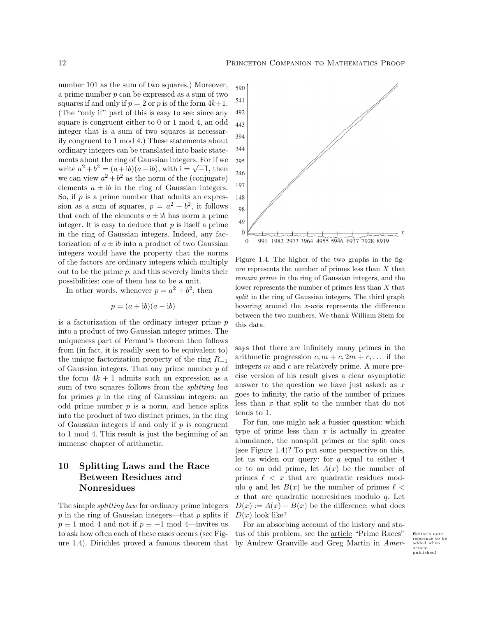number 101 as the sum of two squares.) Moreover, a prime number  $p$  can be expressed as a sum of two squares if and only if  $p = 2$  or p is of the form  $4k+1$ . (The "only if" part of this is easy to see: since any square is congruent either to 0 or 1 mod 4, an odd integer that is a sum of two squares is necessarily congruent to 1 mod 4.) These statements about ordinary integers can be translated into basic statements about the ring of Gaussian integers. For if we write  $a^2 + b^2 = (a + ib)(a - ib)$ , with  $i = \sqrt{-1}$ , then we can view  $a^2 + b^2$  as the norm of the (conjugate) elements  $a \pm ib$  in the ring of Gaussian integers. So, if  $p$  is a prime number that admits an expression as a sum of squares,  $p = a^2 + b^2$ , it follows that each of the elements  $a \pm ib$  has norm a prime integer. It is easy to deduce that  $p$  is itself a prime in the ring of Gaussian integers. Indeed, any factorization of  $a \pm ib$  into a product of two Gaussian integers would have the property that the norms of the factors are ordinary integers which multiply out to be the prime  $p$ , and this severely limits their possibilities: one of them has to be a unit.

In other words, whenever  $p = a^2 + b^2$ , then

$$
p = (a + ib)(a - ib)
$$

is a factorization of the ordinary integer prime  $p$ into a product of two Gaussian integer primes. The uniqueness part of Fermat's theorem then follows from (in fact, it is readily seen to be equivalent to) the unique factorization property of the ring  $R_{-1}$ of Gaussian integers. That any prime number  $p$  of the form  $4k + 1$  admits such an expression as a sum of two squares follows from the *splitting law* for primes p in the ring of Gaussian integers: an odd prime number  $p$  is a norm, and hence splits into the product of two distinct primes, in the ring of Gaussian integers if and only if  $p$  is congruent to 1 mod 4. This result is just the beginning of an immense chapter of arithmetic.

# **10 Splitting Laws and the Race Between Residues and Nonresidues**

The simple splitting law for ordinary prime integers p in the ring of Gaussian integers—that p splits if  $p \equiv 1 \mod 4$  and not if  $p \equiv -1 \mod 4$ —invites us to ask how often each of these cases occurs (see Figure 1.4). Dirichlet proved a famous theorem that



Figure 1.4. The higher of the two graphs in the figure represents the number of primes less than  $X$  that remain prime in the ring of Gaussian integers, and the lower represents the number of primes less than X that split in the ring of Gaussian integers. The third graph hovering around the x-axis represents the difference between the two numbers. We thank William Stein for this data.

says that there are infinitely many primes in the arithmetic progression  $c, m + c, 2m + c, \ldots$  if the integers  $m$  and  $c$  are relatively prime. A more precise version of his result gives a clear asymptotic answer to the question we have just asked: as  $x$ goes to infinity, the ratio of the number of primes less than x that split to the number that do not tends to 1.

For fun, one might ask a fussier question: which type of prime less than  $x$  is actually in greater abundance, the nonsplit primes or the split ones (see Figure 1.4)? To put some perspective on this, let us widen our query: for  $q$  equal to either 4 or to an odd prime, let  $A(x)$  be the number of primes  $\ell \leq x$  that are quadratic residues modulo q and let  $B(x)$  be the number of primes  $\ell$  $x$  that are quadratic nonresidues modulo  $q$ . Let  $D(x) := A(x) - B(x)$  be the difference; what does  $D(x)$  look like?

For an absorbing account of the history and status of this problem, see the article "Prime Races" Editor's note by Andrew Granville and Greg Martin in Amer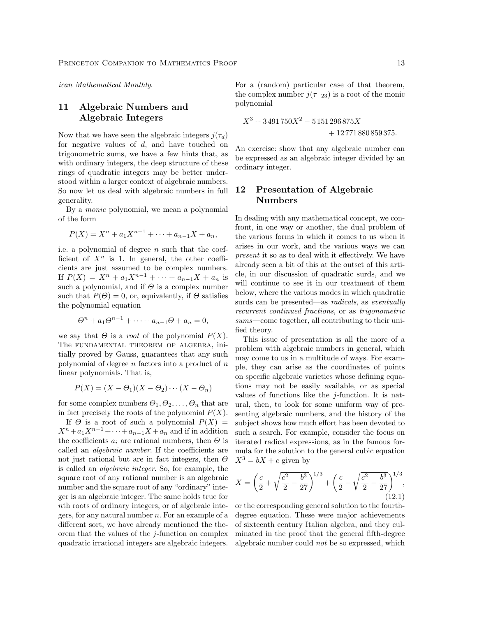ican Mathematical Monthly.

# **11 Algebraic Numbers and Algebraic Integers**

Now that we have seen the algebraic integers  $j(\tau_d)$ for negative values of  $d$ , and have touched on trigonometric sums, we have a few hints that, as with ordinary integers, the deep structure of these rings of quadratic integers may be better understood within a larger context of algebraic numbers. So now let us deal with algebraic numbers in full generality.

By a *monic* polynomial, we mean a polynomial of the form

$$
P(X) = X^n + a_1 X^{n-1} + \dots + a_{n-1} X + a_n,
$$

i.e. a polynomial of degree  $n$  such that the coefficient of  $X^n$  is 1. In general, the other coefficients are just assumed to be complex numbers. If  $P(X) = X^n + a_1 X^{n-1} + \cdots + a_{n-1} X + a_n$  is such a polynomial, and if  $\Theta$  is a complex number such that  $P(\Theta) = 0$ , or, equivalently, if  $\Theta$  satisfies the polynomial equation

$$
\Theta^n + a_1 \Theta^{n-1} + \dots + a_{n-1} \Theta + a_n = 0,
$$

we say that  $\Theta$  is a *root* of the polynomial  $P(X)$ . The FUNDAMENTAL THEOREM OF ALGEBRA, initially proved by Gauss, guarantees that any such polynomial of degree  $n$  factors into a product of  $n$ linear polynomials. That is,

$$
P(X) = (X - \Theta_1)(X - \Theta_2) \cdots (X - \Theta_n)
$$

for some complex numbers  $\Theta_1, \Theta_2, \ldots, \Theta_n$  that are in fact precisely the roots of the polynomial  $P(X)$ .

If  $\Theta$  is a root of such a polynomial  $P(X) =$  $X^n + a_1X^{n-1} + \cdots + a_{n-1}X + a_n$  and if in addition the coefficients  $a_i$  are rational numbers, then  $\Theta$  is called an algebraic number. If the coefficients are not just rational but are in fact integers, then  $\Theta$ is called an algebraic integer. So, for example, the square root of any rational number is an algebraic number and the square root of any "ordinary" integer is an algebraic integer. The same holds true for nth roots of ordinary integers, or of algebraic integers, for any natural number  $n$ . For an example of a different sort, we have already mentioned the theorem that the values of the  $i$ -function on complex quadratic irrational integers are algebraic integers.

For a (random) particular case of that theorem, the complex number  $j(\tau_{-23})$  is a root of the monic polynomial

$$
X^3 + 3\,491\,750X^2 - 5\,151\,296\,875X
$$
  
+ 12\,771\,880\,859\,375.

An exercise: show that any algebraic number can be expressed as an algebraic integer divided by an ordinary integer.

## **12 Presentation of Algebraic Numbers**

In dealing with any mathematical concept, we confront, in one way or another, the dual problem of the various forms in which it comes to us when it arises in our work, and the various ways we can present it so as to deal with it effectively. We have already seen a bit of this at the outset of this article, in our discussion of quadratic surds, and we will continue to see it in our treatment of them below, where the various modes in which quadratic surds can be presented—as *radicals*, as *eventually* recurrent continued fractions, or as trigonometric sums—come together, all contributing to their unified theory.

This issue of presentation is all the more of a problem with algebraic numbers in general, which may come to us in a multitude of ways. For example, they can arise as the coordinates of points on specific algebraic varieties whose defining equations may not be easily available, or as special values of functions like the  $i$ -function. It is natural, then, to look for some uniform way of presenting algebraic numbers, and the history of the subject shows how much effort has been devoted to such a search. For example, consider the focus on iterated radical expressions, as in the famous formula for the solution to the general cubic equation  $X^3 = bX + c$  given by

$$
X = \left(\frac{c}{2} + \sqrt{\frac{c^2}{2} - \frac{b^3}{27}}\right)^{1/3} + \left(\frac{c}{2} - \sqrt{\frac{c^2}{2} - \frac{b^3}{27}}\right)^{1/3},\tag{12.1}
$$

or the corresponding general solution to the fourthdegree equation. These were major achievements of sixteenth century Italian algebra, and they culminated in the proof that the general fifth-degree algebraic number could not be so expressed, which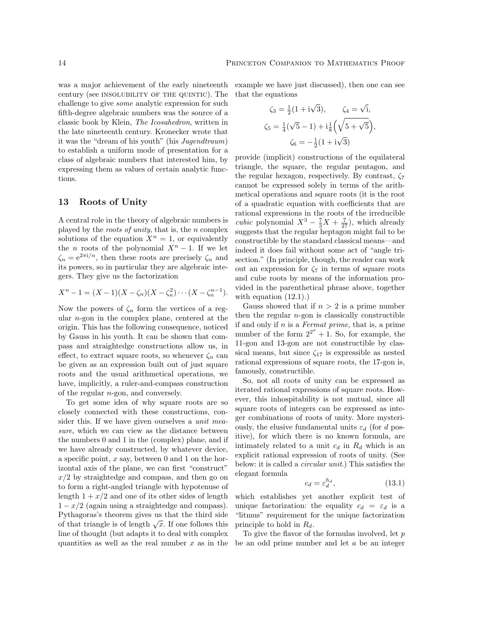was a major achievement of the early nineteenth century (see insolubility of the quintic). The challenge to give some analytic expression for such fifth-degree algebraic numbers was the source of a classic book by Klein, The Icosahedron, written in the late nineteenth century. Kronecker wrote that it was the "dream of his youth" (his Jugendtraum) to establish a uniform mode of presentation for a class of algebraic numbers that interested him, by expressing them as values of certain analytic functions.

## **13 Roots of Unity**

A central role in the theory of algebraic numbers is played by the roots of unity, that is, the n complex solutions of the equation  $X^n = 1$ , or equivalently the *n* roots of the polynomial  $X<sup>n</sup> - 1$ . If we let  $\zeta_n = e^{2\pi i/n}$ , then these roots are precisely  $\zeta_n$  and its powers, so in particular they are algebraic integers. They give us the factorization

$$
X^{n} - 1 = (X - 1)(X - \zeta_{n})(X - \zeta_{n}^{2}) \cdots (X - \zeta_{n}^{n-1}).
$$

Now the powers of  $\zeta_n$  form the vertices of a regular n-gon in the complex plane, centered at the origin. This has the following consequence, noticed by Gauss in his youth. It can be shown that compass and straightedge constructions allow us, in effect, to extract square roots, so whenever  $\zeta_n$  can be given as an expression built out of just square roots and the usual arithmetical operations, we have, implicitly, a ruler-and-compass construction of the regular n-gon, and conversely.

To get some idea of why square roots are so closely connected with these constructions, consider this. If we have given ourselves a *unit mea*sure, which we can view as the distance between the numbers 0 and 1 in the (complex) plane, and if we have already constructed, by whatever device, a specific point,  $x$  say, between 0 and 1 on the horizontal axis of the plane, we can first "construct"  $x/2$  by straightedge and compass, and then go on to form a right-angled triangle with hypotenuse of length  $1 + x/2$  and one of its other sides of length  $1 - x/2$  (again using a straightedge and compass). Pythagoras's theorem gives us that the third side of that triangle is of length  $\sqrt{x}$ . If one follows this line of thought (but adapts it to deal with complex quantities as well as the real number  $x$  as in the example we have just discussed), then one can see that the equations

$$
\zeta_3 = \frac{1}{2}(1 + i\sqrt{3}), \qquad \zeta_4 = \sqrt{i},
$$
  

$$
\zeta_5 = \frac{1}{4}(\sqrt{5} - 1) + i\frac{1}{8}(\sqrt{5} + \sqrt{5}),
$$
  

$$
\zeta_6 = -\frac{1}{2}(1 + i\sqrt{3})
$$

provide (implicit) constructions of the equilateral triangle, the square, the regular pentagon, and the regular hexagon, respectively. By contrast,  $\zeta_7$ cannot be expressed solely in terms of the arithmetical operations and square roots (it is the root of a quadratic equation with coefficients that are rational expressions in the roots of the irreducible cubic polynomial  $X^3 - \frac{7}{3}X + \frac{7}{27}$ , which already suggests that the regular heptagon might fail to be constructible by the standard classical means—and indeed it does fail without some act of "angle trisection." (In principle, though, the reader can work out an expression for  $\zeta_7$  in terms of square roots and cube roots by means of the information provided in the parenthetical phrase above, together with equation  $(12.1)$ .

Gauss showed that if  $n > 2$  is a prime number then the regular  $n$ -gon is classically constructible if and only if  $n$  is a Fermat prime, that is, a prime number of the form  $2^{2^a} + 1$ . So, for example, the 11-gon and 13-gon are not constructible by classical means, but since  $\zeta_{17}$  is expressible as nested rational expressions of square roots, the 17-gon is, famously, constructible.

So, not all roots of unity can be expressed as iterated rational expressions of square roots. However, this inhospitability is not mutual, since all square roots of integers can be expressed as integer combinations of roots of unity. More mysteriously, the elusive fundamental units  $\varepsilon_d$  (for d positive), for which there is no known formula, are intimately related to a unit  $c_d$  in  $R_d$  which is an explicit rational expression of roots of unity. (See below: it is called a circular unit.) This satisfies the elegant formula

$$
c_d = \varepsilon_d^{h_d},\tag{13.1}
$$

which establishes yet another explicit test of unique factorization: the equality  $c_d = \varepsilon_d$  is a "litmus" requirement for the unique factorization principle to hold in  $R_d$ .

To give the flavor of the formulas involved, let p be an odd prime number and let a be an integer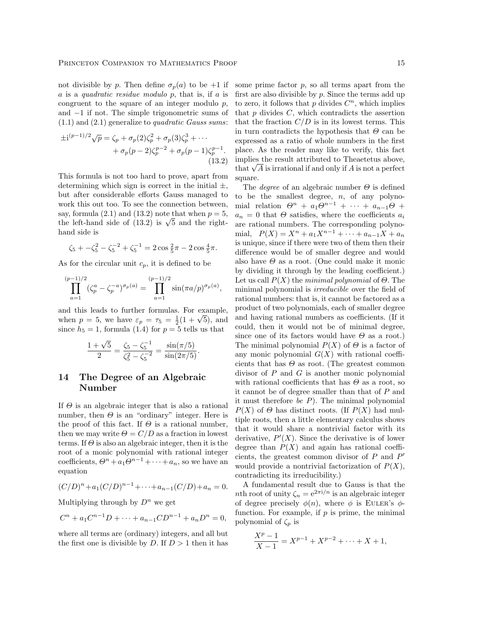not divisible by p. Then define  $\sigma_p(a)$  to be +1 if a is a quadratic residue modulo p, that is, if a is congruent to the square of an integer modulo  $p$ , and −1 if not. The simple trigonometric sums of  $(1.1)$  and  $(2.1)$  generalize to *quadratic Gauss sums*:

$$
\pm i^{(p-1)/2} \sqrt{p} = \zeta_p + \sigma_p(2)\zeta_p^2 + \sigma_p(3)\zeta_p^3 + \cdots + \sigma_p(p-2)\zeta_p^{p-2} + \sigma_p(p-1)\zeta_p^{p-1}.
$$
\n(13.2)

This formula is not too hard to prove, apart from determining which sign is correct in the initial  $\pm$ , but after considerable efforts Gauss managed to work this out too. To see the connection between, say, formula  $(2.1)$  and  $(13.2)$  note that when  $p = 5$ , the left-hand side of (13.2) is  $\sqrt{5}$  and the righthand side is

$$
\zeta_5 + -\zeta_5^2 - \zeta_5^{-2} + \zeta_5^{-1} = 2\cos\frac{2}{5}\pi - 2\cos\frac{4}{5}\pi.
$$

As for the circular unit  $c_p$ , it is defined to be

$$
\prod_{a=1}^{(p-1)/2} (\zeta_p^a - \zeta_p^{-a})^{\sigma_p(a)} = \prod_{a=1}^{(p-1)/2} \sin(\pi a/p)^{\sigma_p(a)},
$$

and this leads to further formulas. For example, and this leads to further formulas. For example,<br>when  $p = 5$ , we have  $\varepsilon_p = \tau_5 = \frac{1}{2}(1 + \sqrt{5})$ , and since  $h_5 = 1$ , formula (1.4) for  $p = 5$  tells us that

$$
\frac{1+\sqrt{5}}{2} = \frac{\zeta_5 - \zeta_5^{-1}}{\zeta_5^2 - \zeta_5^{-2}} = \frac{\sin(\pi/5)}{\sin(2\pi/5)}.
$$

## **14 The Degree of an Algebraic Number**

If  $\Theta$  is an algebraic integer that is also a rational number, then  $\Theta$  is an "ordinary" integer. Here is the proof of this fact. If  $\Theta$  is a rational number, then we may write  $\Theta = C/D$  as a fraction in lowest terms. If  $\Theta$  is also an algebraic integer, then it is the root of a monic polynomial with rational integer coefficients,  $\Theta^{n} + a_1 \Theta^{n-1} + \cdots + a_n$ , so we have an equation

$$
(C/D)^{n} + a_1(C/D)^{n-1} + \cdots + a_{n-1}(C/D) + a_n = 0.
$$

Multiplying through by  $D^n$  we get

$$
C^{n} + a_{1}C^{n-1}D + \cdots + a_{n-1}CD^{n-1} + a_{n}D^{n} = 0,
$$

where all terms are (ordinary) integers, and all but the first one is divisible by D. If  $D > 1$  then it has some prime factor  $p$ , so all terms apart from the first are also divisible by  $p$ . Since the terms add up to zero, it follows that  $p$  divides  $C<sup>n</sup>$ , which implies that  $p$  divides  $C$ , which contradicts the assertion that the fraction  $C/D$  is in its lowest terms. This in turn contradicts the hypothesis that  $\Theta$  can be expressed as a ratio of whole numbers in the first place. As the reader may like to verify, this fact implies the result attributed to Theaetetus above, mplies the result attributed to 1 heaetetus above,<br>that  $\sqrt{A}$  is irrational if and only if A is not a perfect square.

The *degree* of an algebraic number  $\Theta$  is defined to be the smallest degree,  $n$ , of any polynomial relation  $\Theta^n$  +  $a_1 \Theta^{n-1}$  +  $\cdots$  +  $a_{n-1}\Theta$  +  $a_n = 0$  that  $\Theta$  satisfies, where the coefficients  $a_i$ are rational numbers. The corresponding polynomial,  $P(X) = X^n + a_1 X^{n-1} + \cdots + a_{n-1} X + a_n$ is unique, since if there were two of them then their difference would be of smaller degree and would also have  $\Theta$  as a root. (One could make it monic by dividing it through by the leading coefficient.) Let us call  $P(X)$  the minimal polynomial of  $\Theta$ . The minimal polynomial is *irreducible* over the field of rational numbers: that is, it cannot be factored as a product of two polynomials, each of smaller degree and having rational numbers as coefficients. (If it could, then it would not be of minimal degree, since one of its factors would have  $\Theta$  as a root.) The minimal polynomial  $P(X)$  of  $\Theta$  is a factor of any monic polynomial  $G(X)$  with rational coefficients that has  $\Theta$  as root. (The greatest common divisor of  $P$  and  $G$  is another monic polynomial with rational coefficients that has  $\Theta$  as a root, so it cannot be of degree smaller than that of P and it must therefore be  $P$ ). The minimal polynomial  $P(X)$  of  $\Theta$  has distinct roots. (If  $P(X)$  had multiple roots, then a little elementary calculus shows that it would share a nontrivial factor with its derivative,  $P'(X)$ . Since the derivative is of lower degree than  $P(X)$  and again has rational coefficients, the greatest common divisor of  $P$  and  $P'$ would provide a nontrivial factorization of  $P(X)$ , contradicting its irreducibility.)

A fundamental result due to Gauss is that the nth root of unity  $\zeta_n = e^{2\pi i/n}$  is an algebraic integer of degree precisely  $\phi(n)$ , where  $\phi$  is EULER's  $\phi$ function. For example, if  $p$  is prime, the minimal polynomial of  $\zeta_p$  is

$$
\frac{X^p - 1}{X - 1} = X^{p-1} + X^{p-2} + \dots + X + 1,
$$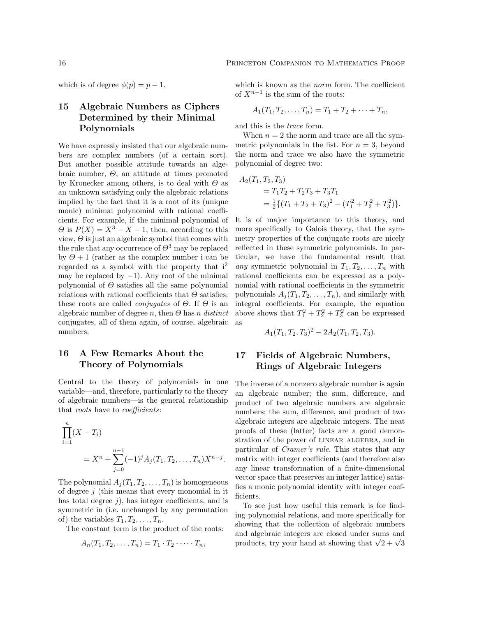which is of degree  $\phi(p) = p - 1$ .

# **15 Algebraic Numbers as Ciphers Determined by their Minimal Polynomials**

We have expressly insisted that our algebraic numbers are complex numbers (of a certain sort). But another possible attitude towards an algebraic number,  $\Theta$ , an attitude at times promoted by Kronecker among others, is to deal with  $\Theta$  as an unknown satisfying only the algebraic relations implied by the fact that it is a root of its (unique monic) minimal polynomial with rational coefficients. For example, if the minimal polynomial of  $\Theta$  is  $P(X) = X^3 - X - 1$ , then, according to this view,  $\Theta$  is just an algebraic symbol that comes with the rule that any occurrence of  $\Theta^3$  may be replaced by  $\Theta + 1$  (rather as the complex number i can be regarded as a symbol with the property that i<sup>2</sup> may be replaced by  $-1$ ). Any root of the minimal polynomial of  $\Theta$  satisfies all the same polynomial relations with rational coefficients that  $\Theta$  satisfies; these roots are called *conjugates* of  $\Theta$ . If  $\Theta$  is an algebraic number of degree n, then  $\Theta$  has n distinct conjugates, all of them again, of course, algebraic numbers.

# **16 A Few Remarks About the Theory of Polynomials**

Central to the theory of polynomials in one variable—and, therefore, particularly to the theory of algebraic numbers—is the general relationship that roots have to coefficients:

$$
\prod_{i=1}^{n} (X - T_i)
$$
  
=  $X^n + \sum_{j=0}^{n-1} (-1)^j A_j (T_1, T_2, ..., T_n) X^{n-j}.$ 

The polynomial  $A_i(T_1, T_2, \ldots, T_n)$  is homogeneous of degree j (this means that every monomial in it has total degree  $j$ ), has integer coefficients, and is symmetric in (i.e. unchanged by any permutation of) the variables  $T_1, T_2, \ldots, T_n$ .

The constant term is the product of the roots:

$$
A_n(T_1,T_2,\ldots,T_n)=T_1\cdot T_2\cdot\cdots\cdot T_n,
$$

which is known as the *norm* form. The coefficient of  $X^{n-1}$  is the sum of the roots:

$$
A_1(T_1, T_2, \ldots, T_n) = T_1 + T_2 + \cdots + T_n,
$$

and this is the trace form.

When  $n = 2$  the norm and trace are all the symmetric polynomials in the list. For  $n = 3$ , beyond the norm and trace we also have the symmetric polynomial of degree two:

$$
A_2(T_1, T_2, T_3)
$$
  
=  $T_1T_2 + T_2T_3 + T_3T_1$   
=  $\frac{1}{2}$  { $(T_1 + T_2 + T_3)^2 - (T_1^2 + T_2^2 + T_3^2)$  }.

It is of major importance to this theory, and more specifically to Galois theory, that the symmetry properties of the conjugate roots are nicely reflected in these symmetric polynomials. In particular, we have the fundamental result that any symmetric polynomial in  $T_1, T_2, \ldots, T_n$  with rational coefficients can be expressed as a polynomial with rational coefficients in the symmetric polynomials  $A_j(T_1, T_2, \ldots, T_n)$ , and similarly with integral coefficients. For example, the equation above shows that  $T_1^2 + T_2^2 + T_3^2$  can be expressed as

$$
A_1(T_1, T_2, T_3)^2 - 2A_2(T_1, T_2, T_3).
$$

# **17 Fields of Algebraic Numbers, Rings of Algebraic Integers**

The inverse of a nonzero algebraic number is again an algebraic number; the sum, difference, and product of two algebraic numbers are algebraic numbers; the sum, difference, and product of two algebraic integers are algebraic integers. The neat proofs of these (latter) facts are a good demonstration of the power of LINEAR ALGEBRA, and in particular of Cramer's rule. This states that any matrix with integer coefficients (and therefore also any linear transformation of a finite-dimensional vector space that preserves an integer lattice) satisfies a monic polynomial identity with integer coefficients.

To see just how useful this remark is for finding polynomial relations, and more specifically for showing that the collection of algebraic numbers and algebraic integers are closed under sums and products, try your hand at showing that  $\sqrt{2} + \sqrt{3}$ 

n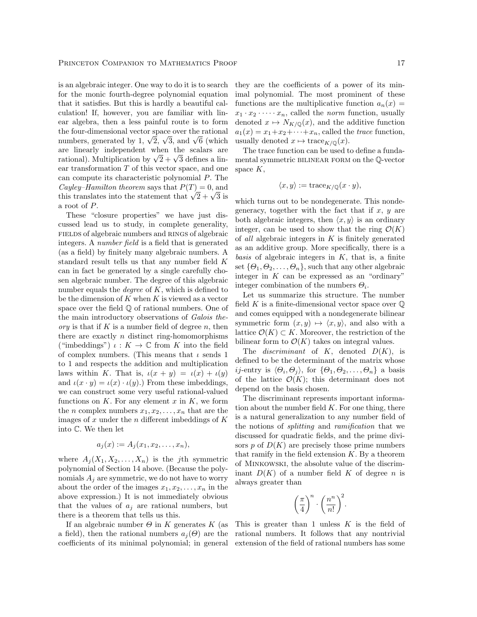is an algebraic integer. One way to do it is to search for the monic fourth-degree polynomial equation that it satisfies. But this is hardly a beautiful calculation! If, however, you are familiar with linear algebra, then a less painful route is to form the four-dimensional vector space over the rational numbers, generated by 1,  $\sqrt{2}$ ,  $\sqrt{3}$ , and  $\sqrt{6}$  (which are linearly independent when the scalars are rational). Multiplication by  $\sqrt{2} + \sqrt{3}$  defines a linear transformation T of this vector space, and one can compute its characteristic polynomial P. The Cayley–Hamilton theorem says that  $P(T) = 0$ , and this translates into the statement that  $\sqrt{2} + \sqrt{3}$  is a root of P.

These "closure properties" we have just discussed lead us to study, in complete generality, fields of algebraic numbers and rings of algebraic integers. A number field is a field that is generated (as a field) by finitely many algebraic numbers. A standard result tells us that any number field K can in fact be generated by a single carefully chosen algebraic number. The degree of this algebraic number equals the *degree* of  $K$ , which is defined to be the dimension of  $K$  when  $K$  is viewed as a vector space over the field Q of rational numbers. One of the main introductory observations of Galois the*ory* is that if K is a number field of degree n, then there are exactly  $n$  distinct ring-homomorphisms ("imbeddings")  $\iota: K \to \mathbb{C}$  from K into the field of complex numbers. (This means that  $\iota$  sends 1 to 1 and respects the addition and multiplication laws within K. That is,  $\iota(x + y) = \iota(x) + \iota(y)$ and  $\iota(x \cdot y) = \iota(x) \cdot \iota(y)$ .) From these imbeddings, we can construct some very useful rational-valued functions on  $K$ . For any element  $x$  in  $K$ , we form the *n* complex numbers  $x_1, x_2, \ldots, x_n$  that are the images of  $x$  under the  $n$  different imbeddings of  $K$ into C. We then let

$$
a_j(x) := A_j(x_1, x_2, \ldots, x_n),
$$

where  $A_i(X_1, X_2, \ldots, X_n)$  is the *j*th symmetric polynomial of Section 14 above. (Because the polynomials  $A_i$  are symmetric, we do not have to worry about the order of the images  $x_1, x_2, \ldots, x_n$  in the above expression.) It is not immediately obvious that the values of  $a_j$  are rational numbers, but there is a theorem that tells us this.

If an algebraic number  $\Theta$  in K generates K (as a field), then the rational numbers  $a_i(\Theta)$  are the coefficients of its minimal polynomial; in general they are the coefficients of a power of its minimal polynomial. The most prominent of these functions are the multiplicative function  $a_n(x) =$  $x_1 \cdot x_2 \cdot \cdots \cdot x_n$ , called the *norm* function, usually denoted  $x \mapsto N_{K/\mathbb{Q}}(x)$ , and the additive function  $a_1(x) = x_1 + x_2 + \cdots + x_n$ , called the *trace* function, usually denoted  $x \mapsto \text{trace}_{K/\mathbb{Q}}(x)$ .

The trace function can be used to define a fundamental symmetric bilinear form on the Q-vector space  $K$ ,

$$
\langle x, y \rangle := \operatorname{trace}_{K/\mathbb{Q}}(x \cdot y),
$$

which turns out to be nondegenerate. This nondegeneracy, together with the fact that if  $x, y$  are both algebraic integers, then  $\langle x, y \rangle$  is an ordinary integer, can be used to show that the ring  $\mathcal{O}(K)$ of all algebraic integers in  $K$  is finitely generated as an additive group. More specifically, there is a basis of algebraic integers in  $K$ , that is, a finite set  $\{\Theta_1, \Theta_2, \dots, \Theta_n\}$ , such that any other algebraic integer in  $K$  can be expressed as an "ordinary" integer combination of the numbers  $\Theta_i$ .

Let us summarize this structure. The number field K is a finite-dimensional vector space over  $\mathbb Q$ and comes equipped with a nondegenerate bilinear symmetric form  $(x, y) \mapsto \langle x, y \rangle$ , and also with a lattice  $\mathcal{O}(K) \subset K$ . Moreover, the restriction of the bilinear form to  $\mathcal{O}(K)$  takes on integral values.

The *discriminant* of K, denoted  $D(K)$ , is defined to be the determinant of the matrix whose *ij*-entry is  $\langle \Theta_i, \Theta_j \rangle$ , for  $\{\Theta_1, \Theta_2, \ldots, \Theta_n\}$  a basis of the lattice  $\mathcal{O}(K)$ ; this determinant does not depend on the basis chosen.

The discriminant represents important information about the number field  $K$ . For one thing, there is a natural generalization to any number field of the notions of splitting and ramification that we discussed for quadratic fields, and the prime divisors  $p$  of  $D(K)$  are precisely those prime numbers that ramify in the field extension  $K$ . By a theorem of Minkowski, the absolute value of the discriminant  $D(K)$  of a number field K of degree n is always greater than

$$
\left(\frac{\pi}{4}\right)^n \cdot \left(\frac{n^n}{n!}\right)^2.
$$

This is greater than 1 unless  $K$  is the field of rational numbers. It follows that any nontrivial extension of the field of rational numbers has some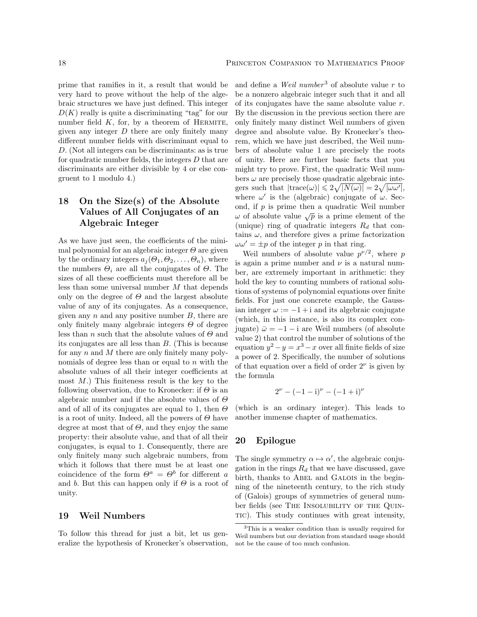prime that ramifies in it, a result that would be very hard to prove without the help of the algebraic structures we have just defined. This integer  $D(K)$  really is quite a discriminating "tag" for our number field  $K$ , for, by a theorem of HERMITE, given any integer  $D$  there are only finitely many different number fields with discriminant equal to D. (Not all integers can be discriminants: as is true for quadratic number fields, the integers D that are discriminants are either divisible by 4 or else congruent to 1 modulo 4.)

# **18 On the Size(s) of the Absolute Values of All Conjugates of an Algebraic Integer**

As we have just seen, the coefficients of the minimal polynomial for an algebraic integer  $\Theta$  are given by the ordinary integers  $a_i(\Theta_1, \Theta_2, \ldots, \Theta_n)$ , where the numbers  $\Theta_i$  are all the conjugates of  $\Theta$ . The sizes of all these coefficients must therefore all be less than some universal number M that depends only on the degree of  $\Theta$  and the largest absolute value of any of its conjugates. As a consequence, given any  $n$  and any positive number  $B$ , there are only finitely many algebraic integers  $\Theta$  of degree less than n such that the absolute values of  $\Theta$  and its conjugates are all less than B. (This is because for any  $n$  and  $M$  there are only finitely many polynomials of degree less than or equal to  $n$  with the absolute values of all their integer coefficients at most  $M$ .) This finiteness result is the key to the following observation, due to Kronecker: if  $\Theta$  is an algebraic number and if the absolute values of  $\Theta$ and of all of its conjugates are equal to 1, then  $\Theta$ is a root of unity. Indeed, all the powers of  $\Theta$  have degree at most that of  $\Theta$ , and they enjoy the same property: their absolute value, and that of all their conjugates, is equal to 1. Consequently, there are only finitely many such algebraic numbers, from which it follows that there must be at least one coincidence of the form  $\Theta^a = \Theta^b$  for different a and b. But this can happen only if  $\Theta$  is a root of unity.

#### **19 Weil Numbers**

To follow this thread for just a bit, let us generalize the hypothesis of Kronecker's observation, and define a *Weil number*<sup>3</sup> of absolute value  $r$  to be a nonzero algebraic integer such that it and all of its conjugates have the same absolute value  $r$ . By the discussion in the previous section there are only finitely many distinct Weil numbers of given degree and absolute value. By Kronecker's theorem, which we have just described, the Weil numbers of absolute value 1 are precisely the roots of unity. Here are further basic facts that you might try to prove. First, the quadratic Weil numbers  $\omega$  are precisely those quadratic algebraic integers such that  $|\text{trace}(\omega)| \leq 2\sqrt{|N(\omega)|} = 2\sqrt{|\omega\omega'|}$ , where  $\omega'$  is the (algebraic) conjugate of  $\omega$ . Second, if  $p$  is prime then a quadratic Weil number  $\omega$  of absolute value  $\sqrt{p}$  is a prime element of the (unique) ring of quadratic integers  $R_d$  that contains  $\omega$ , and therefore gives a prime factorization  $\omega \omega' = \pm p$  of the integer p in that ring.

Weil numbers of absolute value  $p^{\nu/2}$ , where p is again a prime number and  $\nu$  is a natural number, are extremely important in arithmetic: they hold the key to counting numbers of rational solutions of systems of polynomial equations over finite fields. For just one concrete example, the Gaussian integer  $\omega := -1 + i$  and its algebraic conjugate (which, in this instance, is also its complex conjugate)  $\bar{\omega} = -1 - i$  are Weil numbers (of absolute value 2) that control the number of solutions of the equation  $y^2 - y = x^3 - x$  over all finite fields of size a power of 2. Specifically, the number of solutions of that equation over a field of order  $2^{\nu}$  is given by the formula

$$
2^{\nu} - (-1 - i)^{\nu} - (-1 + i)^{\nu}
$$

(which is an ordinary integer). This leads to another immense chapter of mathematics.

## **20 Epilogue**

The single symmetry  $\alpha \mapsto \alpha'$ , the algebraic conjugation in the rings  $R_d$  that we have discussed, gave birth, thanks to ABEL and GALOIS in the beginning of the nineteenth century, to the rich study of (Galois) groups of symmetries of general number fields (see The Insolubility of the Quintic). This study continues with great intensity,

<sup>3</sup>This is a weaker condition than is usually required for Weil numbers but our deviation from standard usage should not be the cause of too much confusion.